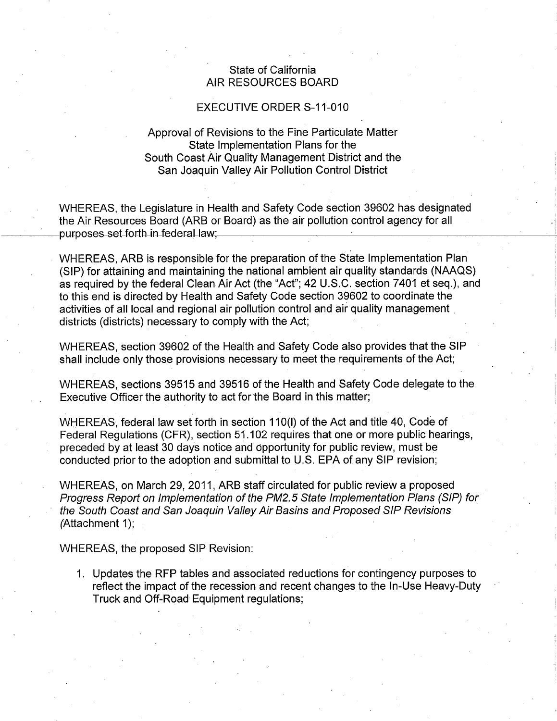## State of California State of California AIR RESOURCES BOARD AIR RESOURCES BOARD

## EXECUTIVE ORDER S-11-010 EXECUTIVE ORDER S-11-010

## Approval of Revisions to the Fine Particulate Matter Approval of Revisions to the Fine Particulate Matter State Implementation Plans for the State Implementation Plans for the South Coast Air Quality Management District and the South Coast Air Quality Management District and the San Joaquin Valley Air Pollution Control District San Joaquin Valley Air Pollution Control District

WHEREAS, the Legislature in Health and Safety Code section 39602 has designated WHEREAS, the Legislature in Health and Safety Code section 39602 has designated the Air Resources Board (ARB or Board) as the air pollution control agency for all the Air Resources Board (ARB or Board) as the air pollution control agency for all ~~~------------1purposes~seUor-lJ1Jr-deder-aLlaw~· --~----------------~----~ purposes set forth in federal law;

WHEREAS, ARB is responsible for the preparation of the State Implementation Plan WHEREAS, ARB is responsible for the preparation of the State Implementation Plan (SIP) for attaining and maintaining the national ambient air quality standards (NAAQS) (SIP) for attaining and maintaining the national ambient air quality standards (NAAQS) as required by the federal Clean Air Act (the "Act"; 42 U.S.C. section 7401 et seq.), and as required by the federal Clean Air Act (the "Act"; 42 U.S.C. section 7401 et seq.), and to this end is directed by Health and Safety Code section 39602 to coordinate the to this end is directed by Health and Safety Code section 39602 to coordinate the activities of all local and regional air pollution control and air quality management . activities of all local and regional air pollution control and air quality management districts (districts) necessary to comply with the Act; districts (districts) necessary to comply with the Act;

WHEREAS, section 39602 of the Health and Safety Code also provides that the SIP WHEREAS, section 39602 of the Health and Safety Code also provides that the SIP shall include only those provisions necessary to meet the requirements of the Act; shall include only those provisions necessary to meet the requirements of the Act;

WHEREAS, sections 39515 and 39516 of the Health and Safety Code delegate to the WHEREAS, sections 39515 and 39516 of the Health and Safety Code delegate to the Executive Officer the authority to act for the Board in this matter; Executive Officer the authority to act for the Board in this matter;

WHEREAS, federal law set forth in section 110(1) of the Act and title 40, Code of WHEREAS, federal law set forth in section 110(1) of the Act and title 40, Code of Federal Regulations (CFR), section 51.102 requires that one or more public hearings, Federal Regulations (CFR), section 51. 102 requires that one or more public hearings, preceded by at least 30 days notice and opportunity for public review, must be preceded by at least 30 days notice and opportunity for public review, must be conducted prior to the adoption and submittal to U.S. EPA of any SIP revision; conducted prior to the adoption and submittal to U.S. EPA of any SIP revision;

WHEREAS, on March 29, 2011, ARB staff circulated for public review a proposed WHEREAS, on March 29, 2011, ARB staff circulated for public review a proposed Progress Report on Implementation of the PM2. 5 State Implementation Plans (SIP) for Progress Report on Implementation of the PM2.5 State Implementation Plans (SIP) for the South Coast and San Joaquin Valley Air Basins and Proposed SIP Revisions the South Coast and San Joaquin Valley Air Basins and Proposed SIP Revisions (Attachment 1);

WHEREAS, the proposed SIP Revision: WHEREAS, the proposed SIP Revision:

1. Updates the RFP tables and associated reductions for contingency purposes to 1. Updates the RFP tables and associated reductions for contingency purposes to reflect the impact of the recession and recent changes to the In-Use Heavy-Duty reflect the impact of the recession and recent changes to the In-Use Heavy-Duty Truck and Off-Road Equipment regulations; Truck and Off-Road Equipment regulations;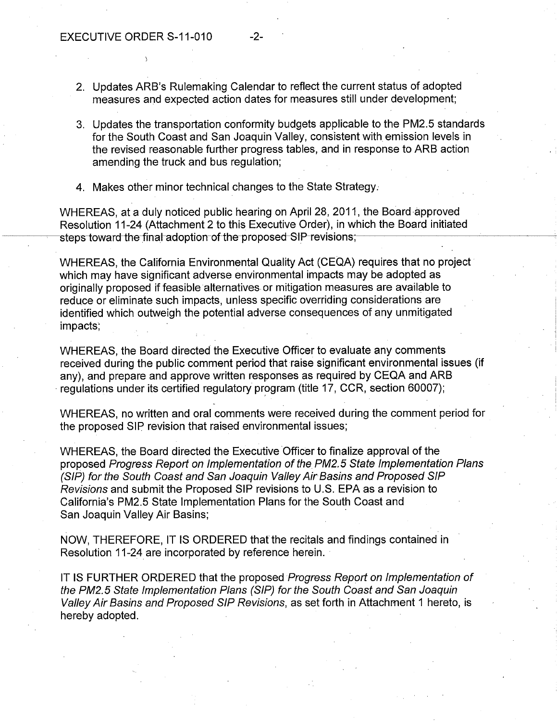- 2. Updates ARB's Rulemaking Calendar to reflect the current status of adopted measures and expected action dates for measures still under development;
- 3. Updates the transportation conformity budgets applicable to the PM2.5 standards for the South Coast and San Joaquin Valley, consistent with emission levels in the revised reasonable further progress tables, and in response to ARB action amending the truck and bus regulation;
- 4. Makes other minor technical changes to the State Strategy.

WHEREAS, at a duly noticed public hearing on April 28, 2011, the Board approved WHEREAS, at a duly noticed public hearing on April 28, 2011, the Board approved Resolution 11-24 (Attachment 2 to this Executive Order), in which the Board initiated Resolution 11-24 (Attachment 2 to this Executive Order), in which the Board initiated steps toward the final adoption of the proposed-SIP-revisions;

> WHEREAS, the California Environmental Quality Act (CEQA) requires that no project WHEREAS, the California Environmental Quality Act (CEQA) requires that no project which may have significant adverse environmental impacts may be adopted as which may have significant adverse environmental impacts may be adopted as originally proposed if feasible alternatives or mitigation measures are available to originally proposed if feasible alternatives or mitigation measures are available to reduce or eliminate such impacts, unless specific overriding considerations are identified which outweigh the potential adverse consequences of any unmitigated identified which outweigh the potential adverse consequences of any unmitigated impacts; impacts;

WHEREAS, the Board directed the Executive Officer to evaluate any comments WHEREAS, the Board directed the Executive Officer to evaluate any comments received during the public comment period that raise significant environmental issues (if any), and prepare and approve written responses as required by CEQA and ARB  $\cdot$  regulations under its certified regulatory program (title 17, CCR, section 60007);

WHEREAS, no written and oral comments were received during the comment period for WHEREAS, no written and oral comments were received during the comment period for the proposed SIP revision that raised environmental issues; the proposed SIP. revision that raised environmental issues;

WHEREAS, the Board directed the Executive Officer to finalize approval of the WHEREAS, the Board directed the Executive Officer to finalize approval of the proposed Progress Report on Implementation of the PM2. 5 State Implementation Plans proposed Progress Report on Implementation of the PM2.5 State Implementation Plans (SIP) for the South Coast and San Joaquin Valley Air Basins and Proposed SIP Revisions and submit the Proposed SIP revisions to U.S. EPA as a revision to Revisions and submit the Proposed SIP revisions to U.S. EPA as a revision to California's PM2.5 State Implementation Plans for the South Coast and California's PM2.5 State Implementation Plans for the South Coast and San Joaquin Valley Air Basins; · San Joaquin Valley Air Basins;

NOW, THEREFORE, IT IS ORDERED that the recitals and findings contained in Resolution 11-24 are incorporated by reference herein. · Resolution 11-24 are incorporated by reference herein.

IT IS FURTHER ORDERED that the proposed Progress Report on Implementation of IT IS FURTHER ORDERED that the proposed Progress Report on Implementation of the PM2. 5 State Implementation Plans (SIP) for the South Coast and San Joaquin the PM2.5 State Implementation Plans (SIP) for the South Coast and San Joaquin Valley Air Basins and Proposed SIP Revisions, as set forth in Attachment 1 hereto, is Valley Air Basins and Proposed SIP Revisions, as set forth in Attachment 1 hereto, is hereby adopted. hereby adopted.